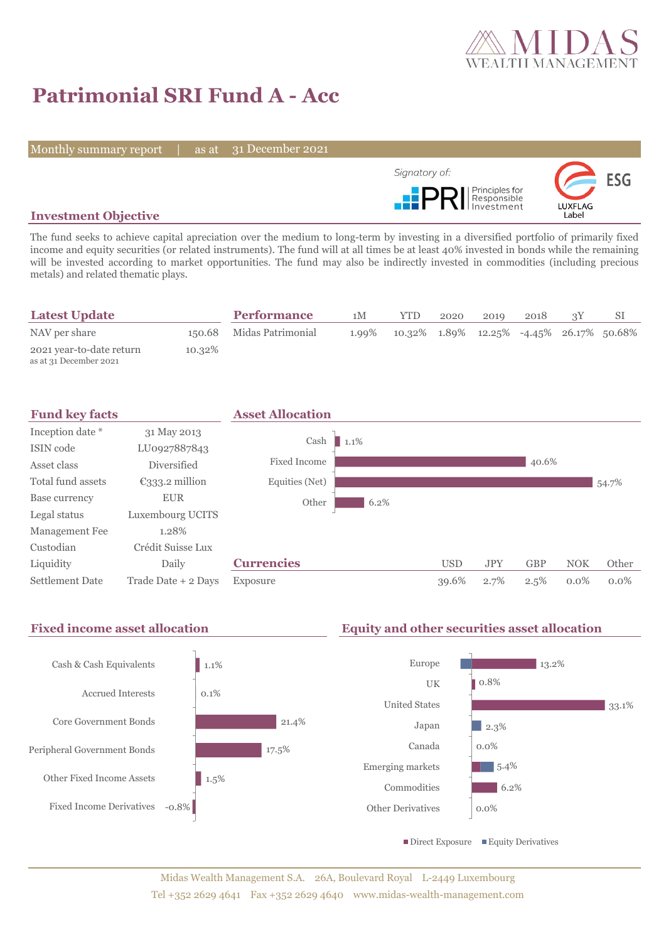

# **Patrimonial SRI Fund A - Acc**

Monthly summary report | as at 31 December 2021



### **Investment Objective**

The fund seeks to achieve capital apreciation over the medium to long-term by investing in a diversified portfolio of primarily fixed income and equity securities (or related instruments). The fund will at all times be at least 40% invested in bonds while the remaining will be invested according to market opportunities. The fund may also be indirectly invested in commodities (including precious metals) and related thematic plays.

| <b>Latest Update</b>                               |        | <b>Performance</b>       | 1M    | <b>YTD</b>                                              | 2020 | 2019 | 2018 |  |
|----------------------------------------------------|--------|--------------------------|-------|---------------------------------------------------------|------|------|------|--|
| NAV per share                                      |        | 150.68 Midas Patrimonial | 1.99% | $10.32\%$ $1.89\%$ $12.25\%$ $-4.45\%$ $26.17\%$ 50.68% |      |      |      |  |
| 2021 year-to-date return<br>as at 31 December 2021 | 10.32% |                          |       |                                                         |      |      |      |  |



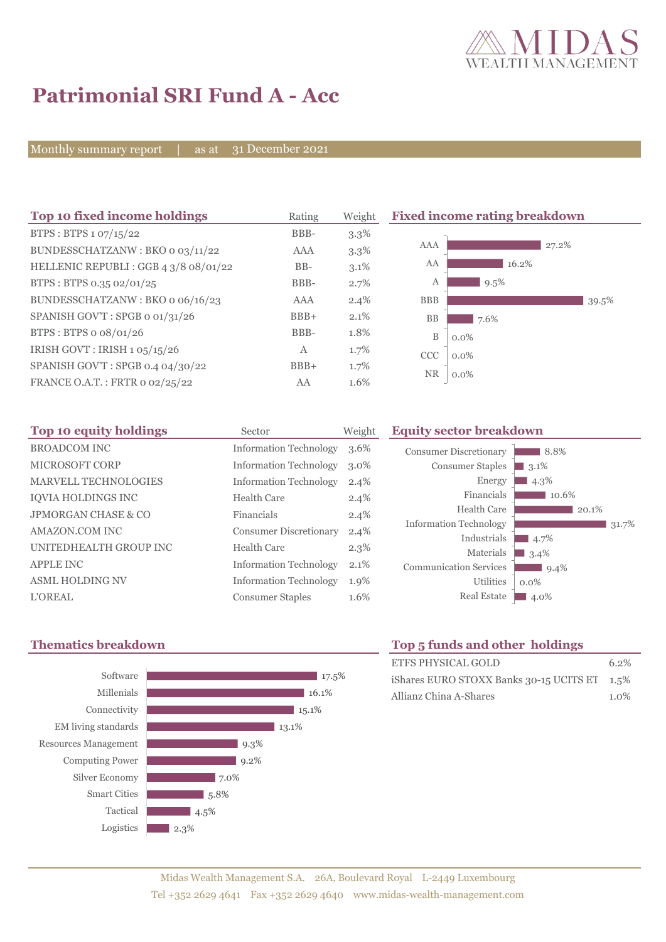

8.8% 3.1<sup>%</sup>  $\blacksquare$  4.3%

10.6%

 $9.4\%$ 

 $4.7\%$  $3.4\%$ 

0.0%

 $20.1\%$ 

 $31.7%$ 

# **Patrimonial SRI Fund A - Acc**

Monthly summary report | as at 31 December 2021

| Top 10 fixed income holdings         | Rating | Weight  | <b>Fixed income rating breakdown</b> |  |  |
|--------------------------------------|--------|---------|--------------------------------------|--|--|
| BTPS: BTPS 1 07/15/22                | BBB-   | $3.3\%$ |                                      |  |  |
| BUNDESSCHATZANW: BKO o 03/11/22      | AAA    | $3.3\%$ | AAA<br>27.2%                         |  |  |
| HELLENIC REPUBLI: GGB 4 3/8 08/01/22 | $BB-$  | $3.1\%$ | AA<br>16.2%                          |  |  |
| BTPS: BTPS 0.35 02/01/25             | BBB-   | 2.7%    | $9.5\%$<br>A                         |  |  |
| BUNDESSCHATZANW: BKO o 06/16/23      | AAA    | $2.4\%$ | <b>BBB</b><br>39.5%                  |  |  |
| SPANISH GOV'T: SPGB o 01/31/26       | $BBB+$ | 2.1%    | BB<br>7.6%                           |  |  |
| BTPS: BTPS o 08/01/26                | BBB-   | 1.8%    | $\mathbf B$<br>$0.0\%$               |  |  |
| IRISH GOVT : IRISH 1 05/15/26        | A      | 1.7%    | <b>CCC</b><br>$0.0\%$                |  |  |
| SPANISH GOV'T: SPGB 0.4 04/30/22     | $BBB+$ | 1.7%    |                                      |  |  |
| FRANCE O.A.T.: FRTR 0 02/25/22       | AA     | 1.6%    | <b>NR</b><br>$0.0\%$                 |  |  |

| Top 10 equity holdings      | Sector                        | Weight  |
|-----------------------------|-------------------------------|---------|
| <b>BROADCOM INC</b>         | <b>Information Technology</b> | 3.6%    |
| <b>MICROSOFT CORP</b>       | <b>Information Technology</b> | $3.0\%$ |
| <b>MARVELL TECHNOLOGIES</b> | <b>Information Technology</b> | 2.4%    |
| <b>IOVIA HOLDINGS INC</b>   | Health Care                   | 2.4%    |
| JPMORGAN CHASE & CO         | Financials                    | 2.4%    |
| <b>AMAZON.COM INC</b>       | <b>Consumer Discretionary</b> | 2.4%    |
| UNITEDHEALTH GROUP INC      | Health Care                   | 2.3%    |
| <b>APPLE INC</b>            | <b>Information Technology</b> | 2.1%    |
| <b>ASML HOLDING NV</b>      | <b>Information Technology</b> | 1.9%    |
| L'OREAL                     | <b>Consumer Staples</b>       | 1.6%    |

## **Thematics breakdown Top 5 funds and other holdings**



Utilities

Energy Financials Health Care

Industrials Materials

**Equity sector breakdown** 

Consumer Discretionary Consumer Staples

Information Technology

Communication Services

| 10p a funds and other homings                |         |
|----------------------------------------------|---------|
| ETFS PHYSICAL GOLD                           | $6.2\%$ |
| iShares EURO STOXX Banks 30-15 UCITS ET 1.5% |         |
| Allianz China A-Shares                       | $1.0\%$ |

Real Estate 4.0%